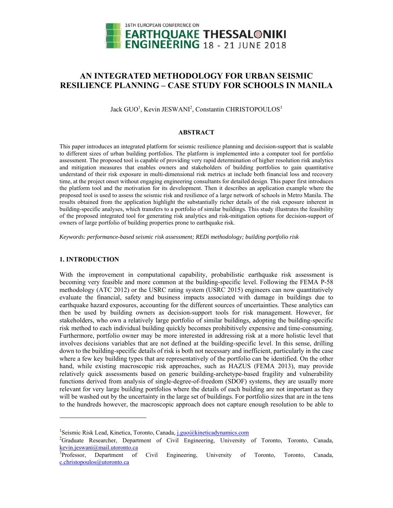

# **AN INTEGRATED METHODOLOGY FOR URBAN SEISMIC RESILIENCE PLANNING – CASE STUDY FOR SCHOOLS IN MANILA**

Jack GUO<sup>1</sup>, Kevin JESWANI<sup>2</sup>, Constantin CHRISTOPOULOS<sup>3</sup>

## **ABSTRACT**

This paper introduces an integrated platform for seismic resilience planning and decision-support that is scalable to different sizes of urban building portfolios. The platform is implemented into a computer tool for portfolio assessment. The proposed tool is capable of providing very rapid determination of higher resolution risk analytics and mitigation measures that enables owners and stakeholders of building portfolios to gain quantitative understand of their risk exposure in multi-dimensional risk metrics at include both financial loss and recovery time, at the project onset without engaging engineering consultants for detailed design. This paper first introduces the platform tool and the motivation for its development. Then it describes an application example where the proposed tool is used to assess the seismic risk and resilience of a large network of schools in Metro Manila. The results obtained from the application highlight the substantially richer details of the risk exposure inherent in building-specific analyses, which transfers to a portfolio of similar buildings. This study illustrates the feasibility of the proposed integrated tool for generating risk analytics and risk-mitigation options for decision-support of owners of large portfolio of building properties prone to earthquake risk.

*Keywords: performance-based seismic risk assessment; REDi methodology; building portfolio risk* 

## **1. INTRODUCTION**

 $\overline{a}$ 

With the improvement in computational capability, probabilistic earthquake risk assessment is becoming very feasible and more common at the building-specific level. Following the FEMA P-58 methodology (ATC 2012) or the USRC rating system (USRC 2015) engineers can now quantitatively evaluate the financial, safety and business impacts associated with damage in buildings due to earthquake hazard exposures, accounting for the different sources of uncertainties. These analytics can then be used by building owners as decision-support tools for risk management. However, for stakeholders, who own a relatively large portfolio of similar buildings, adopting the building-specific risk method to each individual building quickly becomes prohibitively expensive and time-consuming. Furthermore, portfolio owner may be more interested in addressing risk at a more holistic level that involves decisions variables that are not defined at the building-specific level. In this sense, drilling down to the building-specific details of risk is both not necessary and inefficient, particularly in the case where a few key building types that are representatively of the portfolio can be identified. On the other hand, while existing macroscopic risk approaches, such as HAZUS (FEMA 2013), may provide relatively quick assessments based on generic building-archetype-based fragility and vulnerability functions derived from analysis of single-degree-of-freedom (SDOF) systems, they are usually more relevant for very large building portfolios where the details of each building are not important as they will be washed out by the uncertainty in the large set of buildings. For portfolio sizes that are in the tens to the hundreds however, the macroscopic approach does not capture enough resolution to be able to

<sup>&</sup>lt;sup>1</sup>Seismic Risk Lead, Kinetica, Toronto, Canada, <u>j.guo@kineticadynamics.com</u><br><sup>2</sup>Creducto - Researcher - Department of Civil - Engineering - University

<sup>&</sup>lt;sup>2</sup>Graduate Researcher, Department of Civil Engineering, University of Toronto, Toronto, Canada,  $\frac{\text{kevin.jeswani}(\partial_{\text{small.}}utoronto.ca}{^{3}}$ Professor, Department of

Civil Engineering, University of Toronto, Toronto, Canada, c.christopoulos@utoronto.ca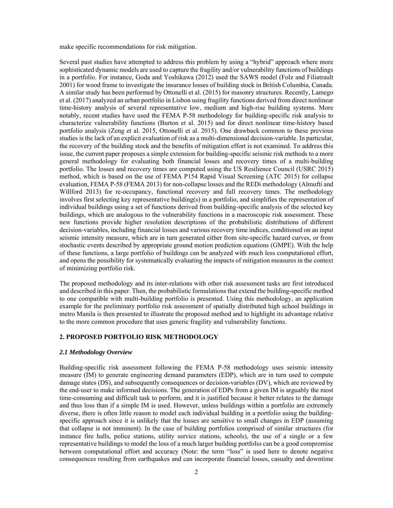make specific recommendations for risk mitigation.

Several past studies have attempted to address this problem by using a "hybrid" approach where more sophisticated dynamic models are used to capture the fragility and/or vulnerability functions of buildings in a portfolio. For instance, Goda and Yoshikawa (2012) used the SAWS model (Folz and Filiatrault 2001) for wood frame to investigate the insurance losses of building stock in British Columbia, Canada. A similar study has been performed by Ottonelli et al. (2015) for masonry structures. Recently, Lamego et al. (2017) analyzed an urban portfolio in Lisbon using fragility functions derived from direct nonlinear time-history analysis of several representative low, medium and high-rise building systems. More notably, recent studies have used the FEMA P-58 methodology for building-specific risk analysis to characterize vulnerability functions (Burton et al. 2015) and for direct nonlinear time-history based portfolio analysis (Zeng et al. 2015, Ottonelli et al. 2015). One drawback common to these previous studies is the lack of an explicit evaluation of risk as a multi-dimensional decision-variable. In particular, the recovery of the building stock and the benefits of mitigation effort is not examined. To address this issue, the current paper proposes a simple extension for building-specific seismic risk methods to a more general methodology for evaluating both financial losses and recovery times of a multi-building portfolio. The losses and recovery times are computed using the US Resilience Council (USRC 2015) method, which is based on the use of FEMA P154 Rapid Visual Screening (ATC 2015) for collapse evaluation, FEMA P-58 (FEMA 2013) for non-collapse losses and the REDi methodology (Almufti and Willford 2013) for re-occupancy, functional recovery and full recovery times. The methodology involves first selecting key representative building(s) in a portfolio, and simplifies the representation of individual buildings using a set of functions derived from building-specific analysis of the selected key buildings, which are analogous to the vulnerability functions in a macroscopic risk assessment. These new functions provide higher resolution descriptions of the probabilistic distributions of different decision-variables, including financial losses and various recovery time indices, conditioned on an input seismic intensity measure, which are in turn generated either from site-specific hazard curves, or from stochastic events described by appropriate ground motion prediction equations (GMPE). With the help of these functions, a large portfolio of buildings can be analyzed with much less computational effort, and opens the possibility for systematically evaluating the impacts of mitigation measures in the context of minimizing portfolio risk.

The proposed methodology and its inter-relations with other risk assessment tasks are first introduced and described in this paper. Then, the probabilistic formulations that extend the building-specific method to one compatible with multi-building portfolio is presented. Using this methodology, an application example for the preliminary portfolio risk assessment of spatially distributed high school buildings in metro Manila is then presented to illustrate the proposed method and to highlight its advantage relative to the more common procedure that uses generic fragility and vulnerability functions.

## **2. PROPOSED PORTFOLIO RISK METHODOLOGY**

#### *2.1 Methodology Overview*

Building-specific risk assessment following the FEMA P-58 methodology uses seismic intensity measure (IM) to generate engineering demand parameters (EDP), which are in turn used to compute damage states (DS), and subsequently consequences or decision-variables (DV), which are reviewed by the end-user to make informed decisions. The generation of EDPs from a given IM is arguably the most time-consuming and difficult task to perform, and it is justified because it better relates to the damage and thus loss than if a simple IM is used. However, unless buildings within a portfolio are extremely diverse, there is often little reason to model each individual building in a portfolio using the buildingspecific approach since it is unlikely that the losses are sensitive to small changes in EDP (assuming that collapse is not imminent). In the case of building portfolios comprised of similar structures (for instance fire halls, police stations, utility service stations, schools), the use of a single or a few representative buildings to model the loss of a much larger building portfolio can be a good compromise between computational effort and accuracy (Note: the term "loss" is used here to denote negative consequences resulting from earthquakes and can incorporate financial losses, casualty and downtime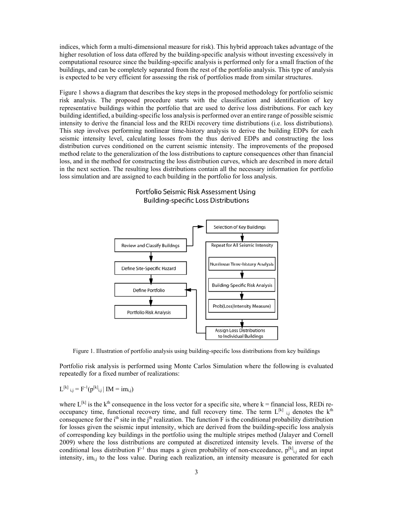indices, which form a multi-dimensional measure for risk). This hybrid approach takes advantage of the higher resolution of loss data offered by the building-specific analysis without investing excessively in computational resource since the building-specific analysis is performed only for a small fraction of the buildings, and can be completely separated from the rest of the portfolio analysis. This type of analysis is expected to be very efficient for assessing the risk of portfolios made from similar structures.

Figure 1 shows a diagram that describes the key steps in the proposed methodology for portfolio seismic risk analysis. The proposed procedure starts with the classification and identification of key representative buildings within the portfolio that are used to derive loss distributions. For each key building identified, a building-specific loss analysis is performed over an entire range of possible seismic intensity to derive the financial loss and the REDi recovery time distributions (i.e. loss distributions). This step involves performing nonlinear time-history analysis to derive the building EDPs for each seismic intensity level, calculating losses from the thus derived EDPs and constructing the loss distribution curves conditioned on the current seismic intensity. The improvements of the proposed method relate to the generalization of the loss distributions to capture consequences other than financial loss, and in the method for constructing the loss distribution curves, which are described in more detail in the next section. The resulting loss distributions contain all the necessary information for portfolio loss simulation and are assigned to each building in the portfolio for loss analysis.





Figure 1. Illustration of portfolio analysis using building-specific loss distributions from key buildings

Portfolio risk analysis is performed using Monte Carlos Simulation where the following is evaluated repeatedly for a fixed number of realizations:

## $L^{[k]}$ <sub>i,j</sub> =  $F^{-1}(p^{[k]}_{i,j} | IM = im_{i,j})$

where  $L^{[k]}$  is the k<sup>th</sup> consequence in the loss vector for a specific site, where k = financial loss, REDi reoccupancy time, functional recovery time, and full recovery time. The term  $L^{[k]}$  i,j denotes the  $k^{\text{th}}$ consequence for the  $i<sup>th</sup>$  site in the j<sup>th</sup> realization. The function F is the conditional probability distribution for losses given the seismic input intensity, which are derived from the building-specific loss analysis of corresponding key buildings in the portfolio using the multiple stripes method (Jalayer and Cornell 2009) where the loss distributions are computed at discretized intensity levels. The inverse of the conditional loss distribution  $F^{-1}$  thus maps a given probability of non-exceedance,  $p^{[k]}$ <sub>ij</sub> and an input intensity, im<sub>i,j</sub> to the loss value. During each realization, an intensity measure is generated for each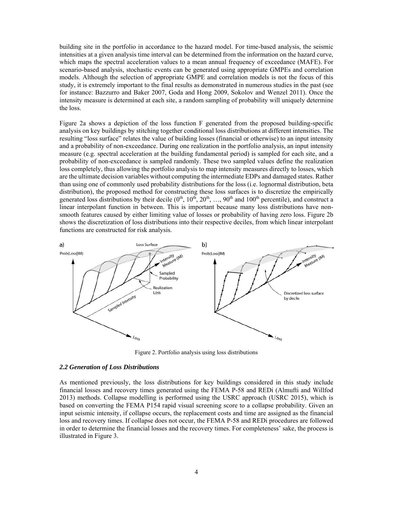building site in the portfolio in accordance to the hazard model. For time-based analysis, the seismic intensities at a given analysis time interval can be determined from the information on the hazard curve, which maps the spectral acceleration values to a mean annual frequency of exceedance (MAFE). For scenario-based analysis, stochastic events can be generated using appropriate GMPEs and correlation models. Although the selection of appropriate GMPE and correlation models is not the focus of this study, it is extremely important to the final results as demonstrated in numerous studies in the past (see for instance: Bazzurro and Baker 2007, Goda and Hong 2009, Sokolov and Wenzel 2011). Once the intensity measure is determined at each site, a random sampling of probability will uniquely determine the loss.

Figure 2a shows a depiction of the loss function F generated from the proposed building-specific analysis on key buildings by stitching together conditional loss distributions at different intensities. The resulting "loss surface" relates the value of building losses (financial or otherwise) to an input intensity and a probability of non-exceedance. During one realization in the portfolio analysis, an input intensity measure (e.g. spectral acceleration at the building fundamental period) is sampled for each site, and a probability of non-exceedance is sampled randomly. These two sampled values define the realization loss completely, thus allowing the portfolio analysis to map intensity measures directly to losses, which are the ultimate decision variables without computing the intermediate EDPs and damaged states. Rather than using one of commonly used probability distributions for the loss (i.e. lognormal distribution, beta distribution), the proposed method for constructing these loss surfaces is to discretize the empirically generated loss distributions by their decile  $(0^{th}, 10^{th}, 20^{th}, \ldots, 90^{th}$  and  $100^{th}$  percentile), and construct a linear interpolant function in between. This is important because many loss distributions have nonsmooth features caused by either limiting value of losses or probability of having zero loss. Figure 2b shows the discretization of loss distributions into their respective deciles, from which linear interpolant functions are constructed for risk analysis.



Figure 2. Portfolio analysis using loss distributions

#### *2.2 Generation of Loss Distributions*

As mentioned previously, the loss distributions for key buildings considered in this study include financial losses and recovery times generated using the FEMA P-58 and REDi (Almufti and Willfod 2013) methods. Collapse modelling is performed using the USRC approach (USRC 2015), which is based on converting the FEMA P154 rapid visual screening score to a collapse probability. Given an input seismic intensity, if collapse occurs, the replacement costs and time are assigned as the financial loss and recovery times. If collapse does not occur, the FEMA P-58 and REDi procedures are followed in order to determine the financial losses and the recovery times. For completeness' sake, the process is illustrated in Figure 3.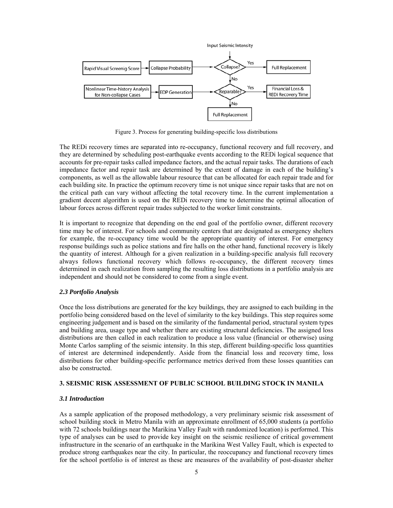

Figure 3. Process for generating building-specific loss distributions

The REDi recovery times are separated into re-occupancy, functional recovery and full recovery, and they are determined by scheduling post-earthquake events according to the REDi logical sequence that accounts for pre-repair tasks called impedance factors, and the actual repair tasks. The durations of each impedance factor and repair task are determined by the extent of damage in each of the building's components, as well as the allowable labour resource that can be allocated for each repair trade and for each building site. In practice the optimum recovery time is not unique since repair tasks that are not on the critical path can vary without affecting the total recovery time. In the current implementation a gradient decent algorithm is used on the REDi recovery time to determine the optimal allocation of labour forces across different repair trades subjected to the worker limit constraints.

It is important to recognize that depending on the end goal of the portfolio owner, different recovery time may be of interest. For schools and community centers that are designated as emergency shelters for example, the re-occupancy time would be the appropriate quantity of interest. For emergency response buildings such as police stations and fire halls on the other hand, functional recovery is likely the quantity of interest. Although for a given realization in a building-specific analysis full recovery always follows functional recovery which follows re-occupancy, the different recovery times determined in each realization from sampling the resulting loss distributions in a portfolio analysis are independent and should not be considered to come from a single event.

## *2.3 Portfolio Analysis*

Once the loss distributions are generated for the key buildings, they are assigned to each building in the portfolio being considered based on the level of similarity to the key buildings. This step requires some engineering judgement and is based on the similarity of the fundamental period, structural system types and building area, usage type and whether there are existing structural deficiencies. The assigned loss distributions are then called in each realization to produce a loss value (financial or otherwise) using Monte Carlos sampling of the seismic intensity. In this step, different building-specific loss quantities of interest are determined independently. Aside from the financial loss and recovery time, loss distributions for other building-specific performance metrics derived from these losses quantities can also be constructed.

## **3. SEISMIC RISK ASSESSMENT OF PUBLIC SCHOOL BUILDING STOCK IN MANILA**

#### *3.1 Introduction*

As a sample application of the proposed methodology, a very preliminary seismic risk assessment of school building stock in Metro Manila with an approximate enrollment of 65,000 students (a portfolio with 72 schools buildings near the Marikina Valley Fault with randomized location) is performed. This type of analyses can be used to provide key insight on the seismic resilience of critical government infrastructure in the scenario of an earthquake in the Marikina West Valley Fault, which is expected to produce strong earthquakes near the city. In particular, the reoccupancy and functional recovery times for the school portfolio is of interest as these are measures of the availability of post-disaster shelter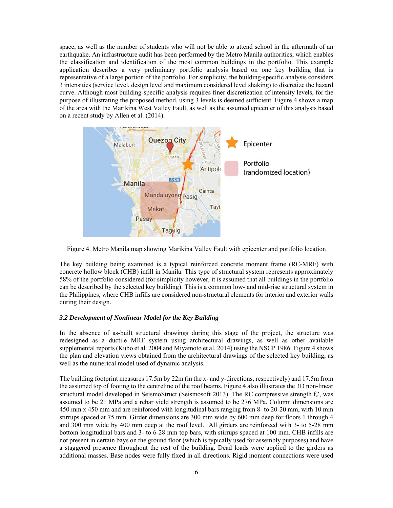space, as well as the number of students who will not be able to attend school in the aftermath of an earthquake. An infrastructure audit has been performed by the Metro Manila authorities, which enables the classification and identification of the most common buildings in the portfolio. This example application describes a very preliminary portfolio analysis based on one key building that is representative of a large portion of the portfolio. For simplicity, the building-specific analysis considers 3 intensities (service level, design level and maximum considered level shaking) to discretize the hazard curve. Although most building-specific analysis requires finer discretization of intensity levels, for the purpose of illustrating the proposed method, using 3 levels is deemed sufficient. Figure 4 shows a map of the area with the Marikina West Valley Fault, as well as the assumed epicenter of this analysis based on a recent study by Allen et al. (2014).



Figure 4. Metro Manila map showing Marikina Valley Fault with epicenter and portfolio location

The key building being examined is a typical reinforced concrete moment frame (RC-MRF) with concrete hollow block (CHB) infill in Manila. This type of structural system represents approximately 58% of the portfolio considered (for simplicity however, it is assumed that all buildings in the portfolio can be described by the selected key building). This is a common low- and mid-rise structural system in the Philippines, where CHB infills are considered non-structural elements for interior and exterior walls during their design.

## *3.2 Development of Nonlinear Model for the Key Building*

In the absence of as-built structural drawings during this stage of the project, the structure was redesigned as a ductile MRF system using architectural drawings, as well as other available supplemental reports (Kubo et al. 2004 and Miyamoto et al. 2014) using the NSCP 1986. Figure 4 shows the plan and elevation views obtained from the architectural drawings of the selected key building, as well as the numerical model used of dynamic analysis.

The building footprint measures 17.5m by 22m (in the x- and y-directions, respectively) and 17.5m from the assumed top of footing to the centreline of the roof beams. Figure 4 also illustrates the 3D non-linear structural model developed in SeismoStruct (Seismosoft 2013). The RC compressive strength  $f_c'$ , was assumed to be 21 MPa and a rebar yield strength is assumed to be 276 MPa. Column dimensions are 450 mm x 450 mm and are reinforced with longitudinal bars ranging from 8- to 20-20 mm, with 10 mm stirrups spaced at 75 mm. Girder dimensions are 300 mm wide by 600 mm deep for floors 1 through 4 and 300 mm wide by 400 mm deep at the roof level. All girders are reinforced with 3- to 5-28 mm bottom longitudinal bars and 3- to 6-28 mm top bars, with stirrups spaced at 100 mm. CHB infills are not present in certain bays on the ground floor (which is typically used for assembly purposes) and have a staggered presence throughout the rest of the building. Dead loads were applied to the girders as additional masses. Base nodes were fully fixed in all directions. Rigid moment connections were used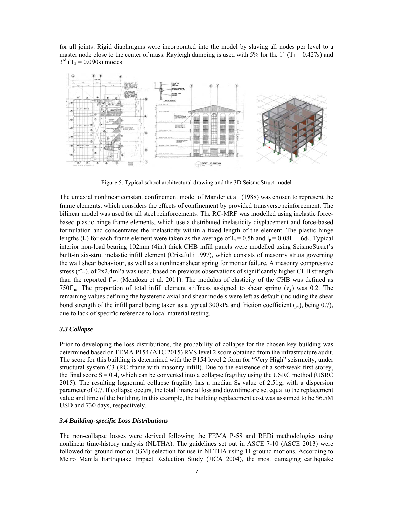for all joints. Rigid diaphragms were incorporated into the model by slaving all nodes per level to a master node close to the center of mass. Rayleigh damping is used with 5% for the  $1<sup>st</sup> (T<sub>1</sub> = 0.427s)$  and  $3^{rd}$  (T<sub>3</sub> = 0.090s) modes.



Figure 5. Typical school architectural drawing and the 3D SeismoStruct model

The uniaxial nonlinear constant confinement model of Mander et al. (1988) was chosen to represent the frame elements, which considers the effects of confinement by provided transverse reinforcement. The bilinear model was used for all steel reinforcements. The RC-MRF was modelled using inelastic forcebased plastic hinge frame elements, which use a distributed inelasticity displacement and force-based formulation and concentrates the inelasticity within a fixed length of the element. The plastic hinge lengths (l<sub>p</sub>) for each frame element were taken as the average of l<sub>p</sub> = 0.5h and l<sub>p</sub> =  $0.08L + 6d_b$ . Typical interior non-load bearing 102mm (4in.) thick CHB infill panels were modelled using SeismoStruct's built-in six-strut inelastic infill element (Crisafulli 1997), which consists of masonry struts governing the wall shear behaviour, as well as a nonlinear shear spring for mortar failure. A masonry compressive stress  $(f<sub>m</sub>)$ , of 2x2.4mPa was used, based on previous observations of significantly higher CHB strength than the reported f'm. (Mendoza et al. 2011). The modulus of elasticity of the CHB was defined as 750f'm. The proportion of total infill element stiffness assigned to shear spring  $(\gamma_s)$  was 0.2. The remaining values defining the hysteretic axial and shear models were left as default (including the shear bond strength of the infill panel being taken as a typical 300kPa and friction coefficient ( $\mu$ ), being 0.7), due to lack of specific reference to local material testing.

#### *3.3 Collapse*

Prior to developing the loss distributions, the probability of collapse for the chosen key building was determined based on FEMA P154 (ATC 2015) RVS level 2 score obtained from the infrastructure audit. The score for this building is determined with the P154 level 2 form for "Very High" seismicity, under structural system C3 (RC frame with masonry infill). Due to the existence of a soft/weak first storey, the final score  $S = 0.4$ , which can be converted into a collapse fragility using the USRC method (USRC) 2015). The resulting lognormal collapse fragility has a median  $S_a$  value of 2.51g, with a dispersion parameter of 0.7. If collapse occurs, the total financial loss and downtime are set equal to the replacement value and time of the building. In this example, the building replacement cost was assumed to be \$6.5M USD and 730 days, respectively.

#### *3.4 Building-specific Loss Distributions*

The non-collapse losses were derived following the FEMA P-58 and REDi methodologies using nonlinear time-history analysis (NLTHA). The guidelines set out in ASCE 7-10 (ASCE 2013) were followed for ground motion (GM) selection for use in NLTHA using 11 ground motions. According to Metro Manila Earthquake Impact Reduction Study (JICA 2004), the most damaging earthquake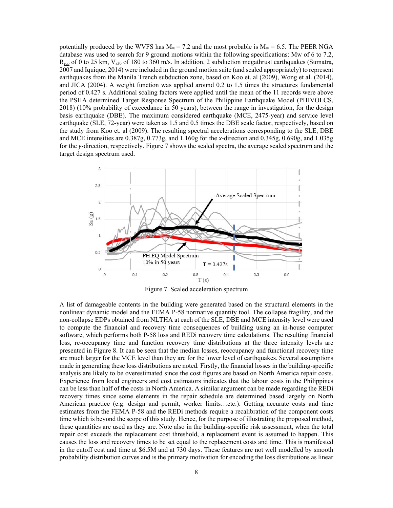potentially produced by the WVFS has  $M_w = 7.2$  and the most probable is  $M_w = 6.5$ . The PEER NGA database was used to search for 9 ground motions within the following specifications: Mw of 6 to 7.2,  $R_{\text{run}}$  of 0 to 25 km,  $V_{s30}$  of 180 to 360 m/s. In addition, 2 subduction megathrust earthquakes (Sumatra, 2007 and Iquique, 2014) were included in the ground motion suite (and scaled appropriately) to represent earthquakes from the Manila Trench subduction zone, based on Koo et. al (2009), Wong et al. (2014), and JICA (2004). A weight function was applied around 0.2 to 1.5 times the structures fundamental period of 0.427 s. Additional scaling factors were applied until the mean of the 11 records were above the PSHA determined Target Response Spectrum of the Philippine Earthquake Model (PHIVOLCS, 2018) (10% probability of exceedance in 50 years), between the range in investigation, for the design basis earthquake (DBE). The maximum considered earthquake (MCE, 2475-year) and service level earthquake (SLE, 72-year) were taken as 1.5 and 0.5 times the DBE scale factor, respectively, based on the study from Koo et. al (2009). The resulting spectral accelerations corresponding to the SLE, DBE and MCE intensities are 0.387g, 0.773g, and 1.160g for the *x*-direction and 0.345g, 0.690g, and 1.035g for the *y*-direction, respectively. Figure 7 shows the scaled spectra, the average scaled spectrum and the target design spectrum used.



Figure 7. Scaled acceleration spectrum

A list of damageable contents in the building were generated based on the structural elements in the nonlinear dynamic model and the FEMA P-58 normative quantity tool. The collapse fragility, and the non-collapse EDPs obtained from NLTHA at each of the SLE, DBE and MCE intensity level were used to compute the financial and recovery time consequences of building using an in-house computer software, which performs both P-58 loss and REDi recovery time calculations. The resulting financial loss, re-occupancy time and function recovery time distributions at the three intensity levels are presented in Figure 8. It can be seen that the median losses, reoccupancy and functional recovery time are much larger for the MCE level than they are for the lower level of earthquakes. Several assumptions made in generating these loss distributions are noted. Firstly, the financial losses in the building-specific analysis are likely to be overestimated since the cost figures are based on North America repair costs. Experience from local engineers and cost estimators indicates that the labour costs in the Philippines can be less than half of the costs in North America. A similar argument can be made regarding the REDi recovery times since some elements in the repair schedule are determined based largely on North American practice (e.g. design and permit, worker limits…etc.). Getting accurate costs and time estimates from the FEMA P-58 and the REDi methods require a recalibration of the component costs time which is beyond the scope of this study. Hence, for the purpose of illustrating the proposed method, these quantities are used as they are. Note also in the building-specific risk assessment, when the total repair cost exceeds the replacement cost threshold, a replacement event is assumed to happen. This causes the loss and recovery times to be set equal to the replacement costs and time. This is manifested in the cutoff cost and time at \$6.5M and at 730 days. These features are not well modelled by smooth probability distribution curves and is the primary motivation for encoding the loss distributions as linear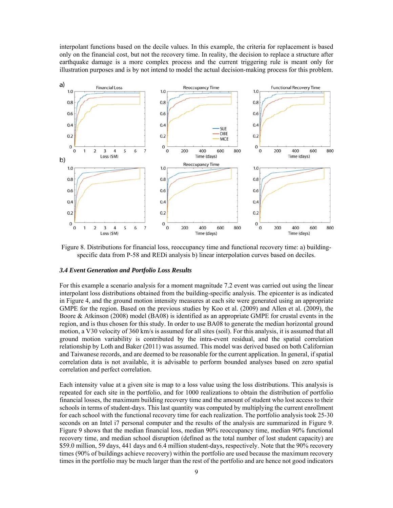interpolant functions based on the decile values. In this example, the criteria for replacement is based only on the financial cost, but not the recovery time. In reality, the decision to replace a structure after earthquake damage is a more complex process and the current triggering rule is meant only for illustration purposes and is by not intend to model the actual decision-making process for this problem.



Figure 8. Distributions for financial loss, reoccupancy time and functional recovery time: a) buildingspecific data from P-58 and REDi analysis b) linear interpolation curves based on deciles.

#### *3.4 Event Generation and Portfolio Loss Results*

For this example a scenario analysis for a moment magnitude 7.2 event was carried out using the linear interpolant loss distributions obtained from the building-specific analysis. The epicenter is as indicated in Figure 4, and the ground motion intensity measures at each site were generated using an appropriate GMPE for the region. Based on the previous studies by Koo et al. (2009) and Allen et al. (2009), the Boore & Atkinson (2008) model (BA08) is identified as an appropriate GMPE for crustal events in the region, and is thus chosen for this study. In order to use BA08 to generate the median horizontal ground motion, a V30 velocity of 360 km/s is assumed for all sites (soil). For this analysis, it is assumed that all ground motion variability is contributed by the intra-event residual, and the spatial correlation relationship by Loth and Baker (2011) was assumed. This model was derived based on both Californian and Taiwanese records, and are deemed to be reasonable for the current application. In general, if spatial correlation data is not available, it is advisable to perform bounded analyses based on zero spatial correlation and perfect correlation.

Each intensity value at a given site is map to a loss value using the loss distributions. This analysis is repeated for each site in the portfolio, and for 1000 realizations to obtain the distribution of portfolio financial losses, the maximum building recovery time and the amount of student who lost access to their schools in terms of student-days. This last quantity was computed by multiplying the current enrollment for each school with the functional recovery time for each realization. The portfolio analysis took 25-30 seconds on an Intel i7 personal computer and the results of the analysis are summarized in Figure 9. Figure 9 shows that the median financial loss, median 90% reoccupancy time, median 90% functional recovery time, and median school disruption (defined as the total number of lost student capacity) are \$59.0 million, 59 days, 441 days and 6.4 million student-days, respectively. Note that the 90% recovery times (90% of buildings achieve recovery) within the portfolio are used because the maximum recovery times in the portfolio may be much larger than the rest of the portfolio and are hence not good indicators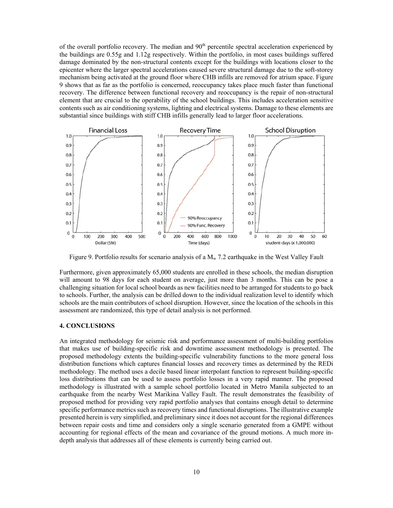of the overall portfolio recovery. The median and 90<sup>th</sup> percentile spectral acceleration experienced by the buildings are 0.55g and 1.12g respectively. Within the portfolio, in most cases buildings suffered damage dominated by the non-structural contents except for the buildings with locations closer to the epicenter where the larger spectral accelerations caused severe structural damage due to the soft-storey mechanism being activated at the ground floor where CHB infills are removed for atrium space. Figure 9 shows that as far as the portfolio is concerned, reoccupancy takes place much faster than functional recovery. The difference between functional recovery and reoccupancy is the repair of non-structural element that are crucial to the operability of the school buildings. This includes acceleration sensitive contents such as air conditioning systems, lighting and electrical systems. Damage to these elements are substantial since buildings with stiff CHB infills generally lead to larger floor accelerations.



Figure 9. Portfolio results for scenario analysis of a  $M_w$  7.2 earthquake in the West Valley Fault

Furthermore, given approximately 65,000 students are enrolled in these schools, the median disruption will amount to 98 days for each student on average, just more than 3 months. This can be pose a challenging situation for local school boards as new facilities need to be arranged for students to go back to schools. Further, the analysis can be drilled down to the individual realization level to identify which schools are the main contributors of school disruption. However, since the location of the schools in this assessment are randomized, this type of detail analysis is not performed.

## **4. CONCLUSIONS**

An integrated methodology for seismic risk and performance assessment of multi-building portfolios that makes use of building-specific risk and downtime assessment methodology is presented. The proposed methodology extents the building-specific vulnerability functions to the more general loss distribution functions which captures financial losses and recovery times as determined by the REDi methodology. The method uses a decile based linear interpolant function to represent building-specific loss distributions that can be used to assess portfolio losses in a very rapid manner. The proposed methodology is illustrated with a sample school portfolio located in Metro Manila subjected to an earthquake from the nearby West Marikina Valley Fault. The result demonstrates the feasibility of proposed method for providing very rapid portfolio analyses that contains enough detail to determine specific performance metrics such as recovery times and functional disruptions. The illustrative example presented herein is very simplified, and preliminary since it does not account for the regional differences between repair costs and time and considers only a single scenario generated from a GMPE without accounting for regional effects of the mean and covariance of the ground motions. A much more indepth analysis that addresses all of these elements is currently being carried out.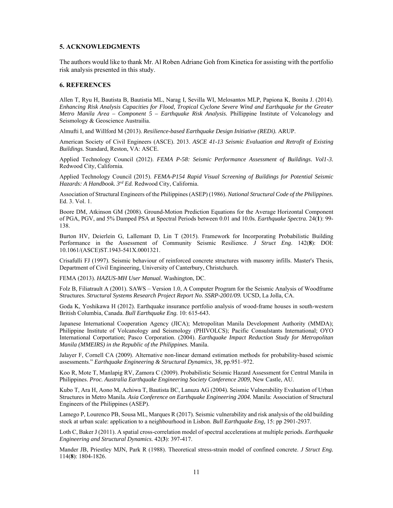## **5. ACKNOWLEDGMENTS**

The authors would like to thank Mr. Al Roben Adriane Goh from Kinetica for assisting with the portfolio risk analysis presented in this study.

## **6. REFERENCES**

Allen T, Ryu H, Bautista B, Bautistia ML, Narag I, Sevilla WI, Melosantos MLP, Papiona K, Bonita J. (2014). *Enhancing Risk Analysis Capacities for Flood, Tropical Cyclone Severe Wind and Earthquake for the Greater Metro Manila Area – Component 5 – Earthquake Risk Analysis.* Phillippine Institute of Volcanology and Seismology & Geoscience Austrailia.

Almufti I, and Willford M (2013). *Resilience-based Earthquake Design Initiative (REDi).* ARUP.

American Society of Civil Engineers (ASCE). 2013. *ASCE 41-13 Seismic Evaluation and Retrofit of Existing Buildings.* Standard, Reston, VA: ASCE.

Applied Technology Council (2012). *FEMA P-58: Seismic Performance Assessment of Buildings. Vol1-3.*  Redwood City, California.

Applied Technology Council (2015). *FEMA-P154 Rapid Visual Screening of Buildings for Potential Seismic Hazards: A Handbook. 3rd Ed.* Redwood City, California.

Association of Structural Engineers of the Philippines (ASEP) (1986). *National Structural Code of the Philippines.* Ed. 3. Vol. 1.

Boore DM, Atkinson GM (2008). Ground-Motion Prediction Equations for the Average Horizontal Component of PGA, PGV, and 5% Damped PSA at Spectral Periods between 0.01 and 10.0s. *Earthquake Spectra.* 24(**1**): 99- 138.

Burton HV, Deierlein G, Lallemant D, Lin T (2015). Framework for Incorporating Probabilistic Building Performance in the Assessment of Community Seismic Resilience. *J Struct Eng*. 142(**8**): DOI: 10.1061/(ASCE)ST.1943-541X.0001321.

Crisafulli FJ (1997). Seismic behaviour of reinforced concrete structures with masonry infills. Master's Thesis, Department of Civil Engineering, University of Canterbury, Christchurch.

FEMA (2013). *HAZUS-MH User Manual.* Washington, DC.

Folz B, Filiatrault A (2001). SAWS – Version 1.0, A Computer Program for the Seismic Analysis of Woodframe Structures. *Structural Systems Research Project Report No. SSRP-2001/09.* UCSD, La Jolla, CA.

Goda K, Yoshikawa H (2012). Earthquake insurance portfolio analysis of wood-frame houses in south-western British Columbia, Canada. *Bull Earthquake Eng.* 10: 615-643.

Japanese International Cooperation Agency (JICA); Metropolitan Manila Development Authority (MMDA); Philippine Institute of Volcanology and Seismology (PHIVOLCS); Pacific Consulstants International; OYO International Corportation; Pasco Corporation. (2004). *Earthquake Impact Reduction Study for Metropolitan Manila (MMEIRS) in the Republic of the Philippines.* Manila.

Jalayer F, Cornell CA (2009). Alternative non-linear demand estimation methods for probability-based seismic assessments." *Earthquake Engineering & Structural Dynamics*, 38, pp.951–972.

Koo R, Mote T, Manlapig RV, Zamora C (2009). Probabilistic Seismic Hazard Assessment for Central Manila in Philippines. *Proc. Australia Earthquake Engineering Society Conference 2009,* New Castle, AU.

Kubo T, Ara H, Aono M, Achiwa T, Bautista BC, Lanuza AG (2004). Seismic Vulnerability Evaluation of Urban Structures in Metro Manila. *Asia Conference on Earthquake Engineering 2004.* Manila: Association of Structural Engineers of the Philippines (ASEP).

Lamego P, Lourenco PB, Sousa ML, Marques R (2017). Seismic vulnerability and risk analysis of the old building stock at urban scale: application to a neighbourhood in Lisbon. *Bull Earthquake Eng,* 15: pp 2901-2937.

Loth C, Baker J (2011). A spatial cross-correlation model of spectral accelerations at multiple periods. *Earthquake Engineering and Structural Dynamics.* 42(**3**): 397-417.

Mander JB, Priestley MJN, Park R (1988). Theoretical stress-strain model of confined concrete. *J Struct Eng.* 114(**8**): 1804-1826.